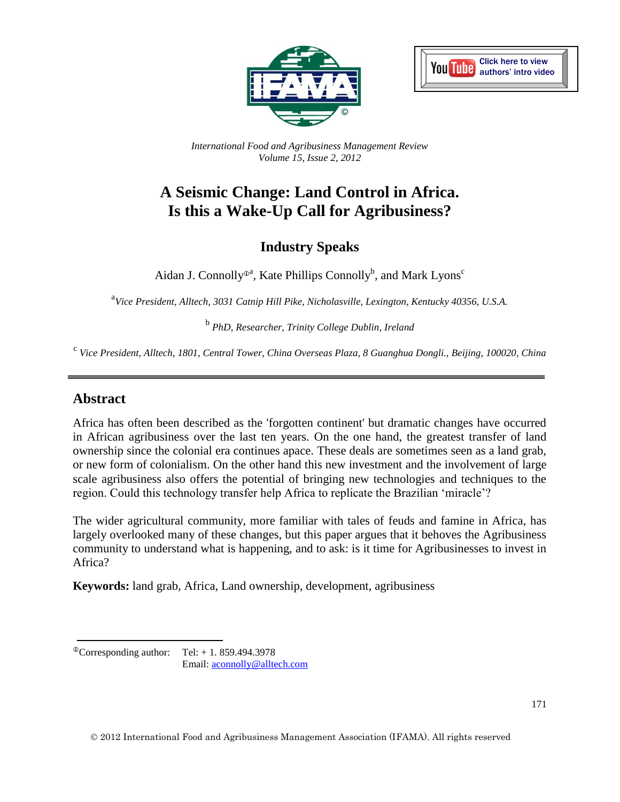



*International Food and Agribusiness Management Review Volume 15, Issue 2, 2012*

# **A Seismic Change: Land Control in Africa. Is this a Wake-Up Call for Agribusiness?**

# **Industry Speaks**

Aidan J. Connolly<sup> $\Phi$ a</sup>, Kate Phillips Connolly<sup>b</sup>, and Mark Lyons<sup>c</sup>

<sup>a</sup>Vice President, Alltech, 3031 Catnip Hill Pike, Nicholasville, Lexington, Kentucky 40356, U.S.A.

b *PhD, Researcher, Trinity College Dublin, Ireland*

c *Vice President, Alltech, 1801, Central Tower, China Overseas Plaza, 8 Guanghua Dongli., Beijing, 100020, China*

### **Abstract**

Africa has often been described as the 'forgotten continent' but dramatic changes have occurred in African agribusiness over the last ten years. On the one hand, the greatest transfer of land ownership since the colonial era continues apace. These deals are sometimes seen as a land grab, or new form of colonialism. On the other hand this new investment and the involvement of large scale agribusiness also offers the potential of bringing new technologies and techniques to the region. Could this technology transfer help Africa to replicate the Brazilian 'miracle'?

The wider agricultural community, more familiar with tales of feuds and famine in Africa, has largely overlooked many of these changes, but this paper argues that it behoves the Agribusiness community to understand what is happening, and to ask: is it time for Agribusinesses to invest in Africa?

**Keywords:** land grab, Africa, Land ownership, development, agribusiness

 $^{\circ}$ Corresponding author: Tel: + 1. 859.494.3978 Email: [aconnolly@alltech.com](mailto:aconnolly@alltech.com)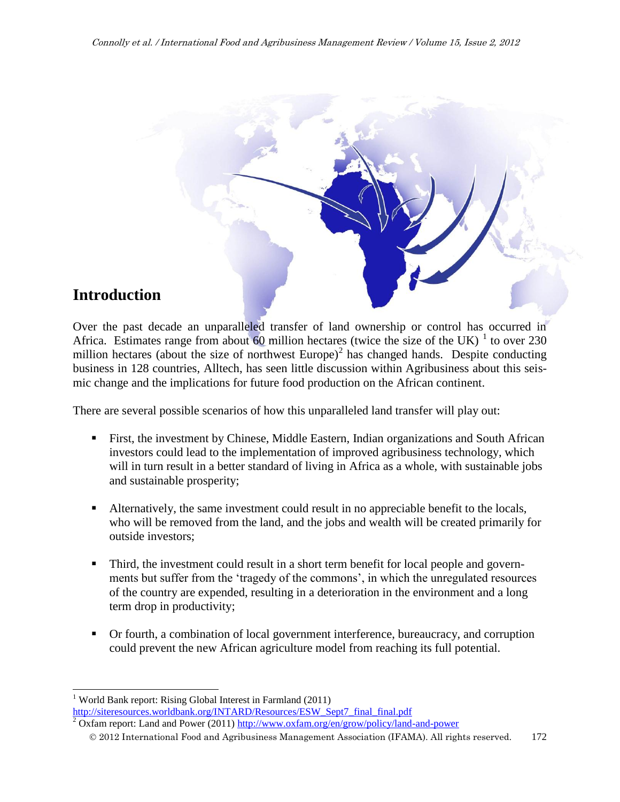

# **Introduction**

Over the past decade an unparalleled transfer of land ownership or control has occurred in Africa. Estimates range from about 60 million hectares (twice the size of the UK)  $1$  to over 230 million hectares (about the size of northwest Europe)<sup>2</sup> has changed hands. Despite conducting business in 128 countries, Alltech, has seen little discussion within Agribusiness about this seismic change and the implications for future food production on the African continent.

There are several possible scenarios of how this unparalleled land transfer will play out:

- First, the investment by Chinese, Middle Eastern, Indian organizations and South African investors could lead to the implementation of improved agribusiness technology, which will in turn result in a better standard of living in Africa as a whole, with sustainable jobs and sustainable prosperity;
- Alternatively, the same investment could result in no appreciable benefit to the locals, who will be removed from the land, and the jobs and wealth will be created primarily for outside investors;
- Third, the investment could result in a short term benefit for local people and governments but suffer from the 'tragedy of the commons', in which the unregulated resources of the country are expended, resulting in a deterioration in the environment and a long term drop in productivity;
- Or fourth, a combination of local government interference, bureaucracy, and corruption could prevent the new African agriculture model from reaching its full potential.

l <sup>1</sup> World Bank report: Rising Global Interest in Farmland  $(2011)$ [http://siteresources.worldbank.org/INTARD/Resources/ESW\\_Sept7\\_final\\_final.pdf](http://siteresources.worldbank.org/INTARD/Resources/ESW_Sept7_final_final.pdf)

 $2$  Oxfam report: Land and Power (2011) <http://www.oxfam.org/en/grow/policy/land-and-power>

2012 International Food and Agribusiness Management Association (IFAMA). All rights reserved. 172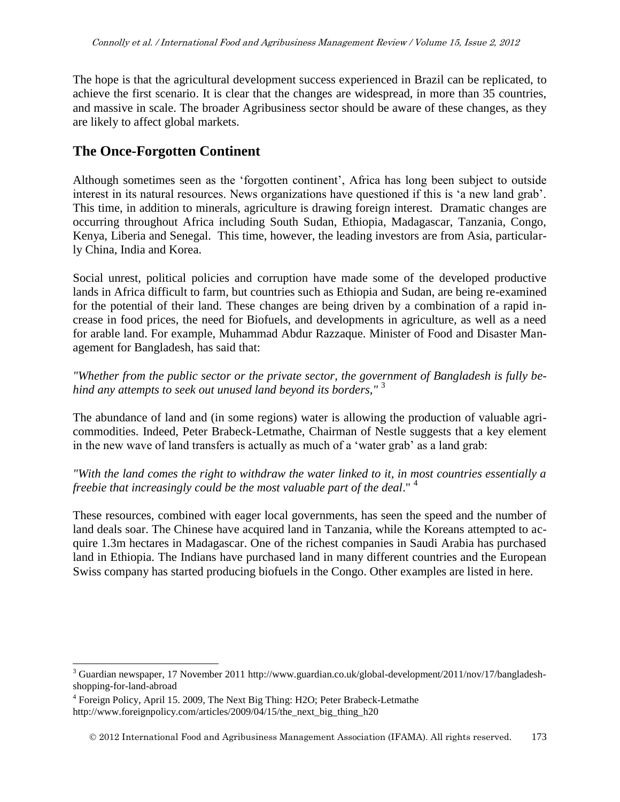The hope is that the agricultural development success experienced in Brazil can be replicated, to achieve the first scenario. It is clear that the changes are widespread, in more than 35 countries, and massive in scale. The broader Agribusiness sector should be aware of these changes, as they are likely to affect global markets.

### **The Once-Forgotten Continent**

Although sometimes seen as the 'forgotten continent', Africa has long been subject to outside interest in its natural resources. News organizations have questioned if this is 'a new land grab'. This time, in addition to minerals, agriculture is drawing foreign interest. Dramatic changes are occurring throughout Africa including South Sudan, Ethiopia, Madagascar, Tanzania, Congo, Kenya, Liberia and Senegal. This time, however, the leading investors are from Asia, particularly China, India and Korea.

Social unrest, political policies and corruption have made some of the developed productive lands in Africa difficult to farm, but countries such as Ethiopia and Sudan, are being re-examined for the potential of their land. These changes are being driven by a combination of a rapid increase in food prices, the need for Biofuels, and developments in agriculture, as well as a need for arable land. For example, Muhammad Abdur Razzaque. Minister of Food and Disaster Management for Bangladesh, has said that:

*"Whether from the public sector or the private sector, the government of Bangladesh is fully behind any attempts to seek out unused land beyond its borders,"* <sup>3</sup>

The abundance of land and (in some regions) water is allowing the production of valuable agricommodities. Indeed, Peter Brabeck-Letmathe, Chairman of Nestle suggests that a key element in the new wave of land transfers is actually as much of a 'water grab' as a land grab:

#### *"With the land comes the right to withdraw the water linked to it, in most countries essentially a freebie that increasingly could be the most valuable part of the deal*." <sup>4</sup>

These resources, combined with eager local governments, has seen the speed and the number of land deals soar. The Chinese have acquired land in Tanzania, while the Koreans attempted to acquire 1.3m hectares in Madagascar. One of the richest companies in Saudi Arabia has purchased land in Ethiopia. The Indians have purchased land in many different countries and the European Swiss company has started producing biofuels in the Congo. Other examples are listed in here.

 $\overline{a}$ 

<sup>&</sup>lt;sup>3</sup> Guardian newspaper, 17 November 2011 http://www.guardian.co.uk/global-development/2011/nov/17/bangladeshshopping-for-land-abroad

<sup>&</sup>lt;sup>4</sup> Foreign Policy, April 15. 2009, The Next Big Thing: H2O; Peter Brabeck-Letmathe http://www.foreignpolicy.com/articles/2009/04/15/the next big thing h20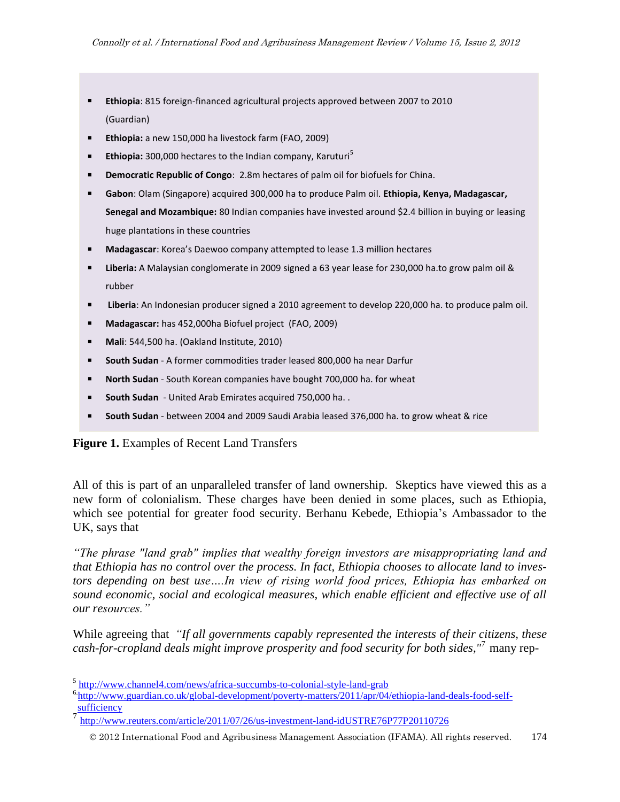- **Ethiopia**: 815 foreign-financed agricultural projects approved between 2007 to 2010 (Guardian)
- **Ethiopia:** a new 150,000 ha livestock farm (FAO, 2009)
- **Ethiopia:** 300,000 hectares to the Indian company, Karuturi<sup>5</sup>
- **Democratic Republic of Congo**: 2.8m hectares of palm oil for biofuels for China.
- **Gabon**: Olam (Singapore) acquired 300,000 ha to produce Palm oil. **Ethiopia, Kenya, Madagascar, Senegal and Mozambique:** 80 Indian companies have invested around \$2.4 billion in buying or leasing huge plantations in these countries
- **Madagascar**: Korea's Daewoo company attempted to lease 1.3 million hectares
- **Liberia:** A Malaysian conglomerate in 2009 signed a 63 year lease for 230,000 ha.to grow palm oil & rubber
- **Liberia**: An Indonesian producer signed a 2010 agreement to develop 220,000 ha. to produce palm oil.
- **Madagascar:** has 452,000ha Biofuel project (FAO, 2009)
- **Mali**: 544,500 ha. (Oakland Institute, 2010)
- **South Sudan** A former commodities trader leased 800,000 ha near Darfur
- **North Sudan** South Korean companies have bought 700,000 ha. for wheat
- **South Sudan** United Arab Emirates acquired 750,000 ha. .
- **South Sudan** between 2004 and 2009 Saudi Arabia leased 376,000 ha. to grow wheat & rice

#### **Figure 1.** Examples of Recent Land Transfers

All of this is part of an unparalleled transfer of land ownership. Skeptics have viewed this as a new form of colonialism. These charges have been denied in some places, such as Ethiopia, which see potential for greater food security. Berhanu Kebede, Ethiopia's Ambassador to the UK, says that

*"The phrase "land grab" implies that wealthy foreign investors are misappropriating land and that Ethiopia has no control over the process. In fact, Ethiopia chooses to allocate land to investors depending on best use….In view of rising world food prices, Ethiopia has embarked on sound economic, social and ecological measures, which enable efficient and effective use of all our resources."*

While agreeing that *"If all governments capably represented the interests of their citizens, these cash-for-cropland deals might improve prosperity and food security for both sides,"*<sup>7</sup> many rep-

<sup>&</sup>lt;sup>5</sup> <http://www.channel4.com/news/africa-succumbs-to-colonial-style-land-grab>

<sup>&</sup>lt;sup>6</sup>[http://www.guardian.co.uk/global-development/poverty-matters/2011/apr/04/ethiopia-land-deals-food-self](http://www.guardian.co.uk/global-development/poverty-matters/2011/apr/04/ethiopia-land-deals-food-self-sufficiency)[sufficiency](http://www.guardian.co.uk/global-development/poverty-matters/2011/apr/04/ethiopia-land-deals-food-self-sufficiency)

<sup>7</sup> <http://www.reuters.com/article/2011/07/26/us-investment-land-idUSTRE76P77P20110726>

2012 International Food and Agribusiness Management Association (IFAMA). All rights reserved. 174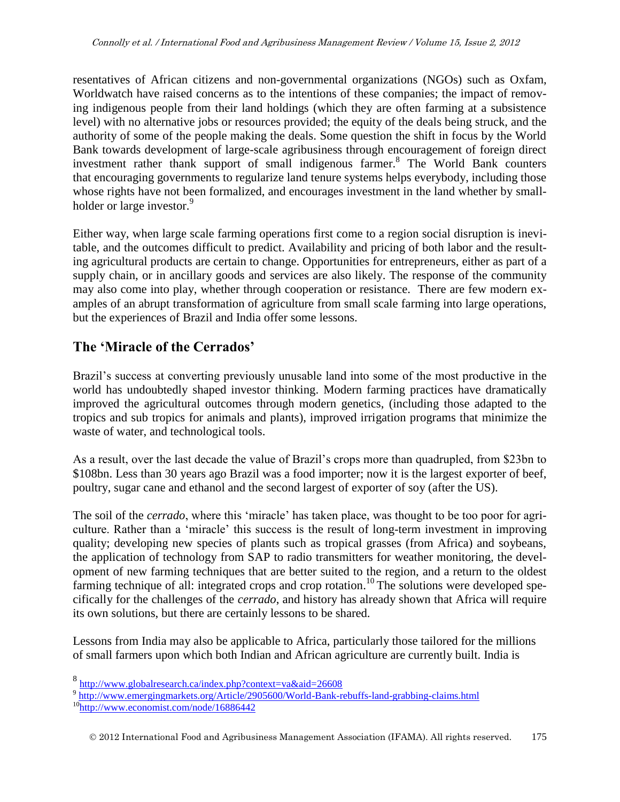resentatives of African citizens and non-governmental organizations (NGOs) such as Oxfam, Worldwatch have raised concerns as to the intentions of these companies; the impact of removing indigenous people from their land holdings (which they are often farming at a subsistence level) with no alternative jobs or resources provided; the equity of the deals being struck, and the authority of some of the people making the deals. Some question the shift in focus by the World Bank towards development of large-scale agribusiness through encouragement of foreign direct investment rather thank support of small indigenous farmer.<sup>8</sup> The World Bank counters that encouraging governments to regularize land tenure systems helps everybody, including those whose rights have not been formalized, and encourages investment in the land whether by smallholder or large investor.<sup>9</sup>

Either way, when large scale farming operations first come to a region social disruption is inevitable, and the outcomes difficult to predict. Availability and pricing of both labor and the resulting agricultural products are certain to change. Opportunities for entrepreneurs, either as part of a supply chain, or in ancillary goods and services are also likely. The response of the community may also come into play, whether through cooperation or resistance. There are few modern examples of an abrupt transformation of agriculture from small scale farming into large operations, but the experiences of Brazil and India offer some lessons.

## **The 'Miracle of the Cerrados'**

Brazil's success at converting previously unusable land into some of the most productive in the world has undoubtedly shaped investor thinking. Modern farming practices have dramatically improved the agricultural outcomes through modern genetics, (including those adapted to the tropics and sub tropics for animals and plants), improved irrigation programs that minimize the waste of water, and technological tools.

As a result, over the last decade the value of Brazil's crops more than quadrupled, from \$23bn to \$108bn. Less than 30 years ago Brazil was a food importer; now it is the largest exporter of beef, poultry, sugar cane and ethanol and the second largest of exporter of soy (after the US).

The soil of the *cerrado*, where this 'miracle' has taken place, was thought to be too poor for agriculture. Rather than a 'miracle' this success is the result of long-term investment in improving quality; developing new species of plants such as tropical grasses (from Africa) and soybeans, the application of technology from SAP to radio transmitters for weather monitoring, the development of new farming techniques that are better suited to the region, and a return to the oldest farming technique of all: integrated crops and crop rotation.<sup>10</sup> The solutions were developed specifically for the challenges of the *cerrado*, and history has already shown that Africa will require its own solutions, but there are certainly lessons to be shared.

Lessons from India may also be applicable to Africa, particularly those tailored for the millions of small farmers upon which both Indian and African agriculture are currently built. India is

<sup>8&</sup>lt;br><http://www.globalresearch.ca/index.php?context=va&aid=26608>

<sup>&</sup>lt;sup>9</sup> <http://www.emergingmarkets.org/Article/2905600/World-Bank-rebuffs-land-grabbing-claims.html>

<sup>&</sup>lt;sup>10</sup><http://www.economist.com/node/16886442>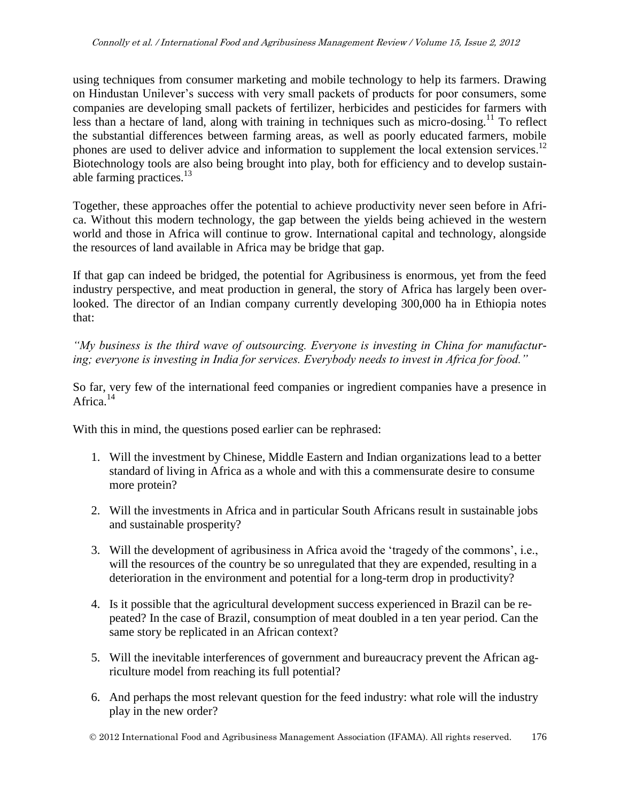using techniques from consumer marketing and mobile technology to help its farmers. Drawing on Hindustan Unilever's success with very small packets of products for poor consumers, some companies are developing small packets of fertilizer, herbicides and pesticides for farmers with less than a hectare of land, along with training in techniques such as micro-dosing.<sup>11</sup> To reflect the substantial differences between farming areas, as well as poorly educated farmers, mobile phones are used to deliver advice and information to supplement the local extension services.<sup>12</sup> Biotechnology tools are also being brought into play, both for efficiency and to develop sustainable farming practices. $13$ 

Together, these approaches offer the potential to achieve productivity never seen before in Africa. Without this modern technology, the gap between the yields being achieved in the western world and those in Africa will continue to grow. International capital and technology, alongside the resources of land available in Africa may be bridge that gap.

If that gap can indeed be bridged, the potential for Agribusiness is enormous, yet from the feed industry perspective, and meat production in general, the story of Africa has largely been overlooked. The director of an Indian company currently developing 300,000 ha in Ethiopia notes that:

*"My business is the third wave of outsourcing. Everyone is investing in China for manufacturing; everyone is investing in India for services. Everybody needs to invest in Africa for food."* 

So far, very few of the international feed companies or ingredient companies have a presence in Africa.<sup>14</sup>

With this in mind, the questions posed earlier can be rephrased:

- 1. Will the investment by Chinese, Middle Eastern and Indian organizations lead to a better standard of living in Africa as a whole and with this a commensurate desire to consume more protein?
- 2. Will the investments in Africa and in particular South Africans result in sustainable jobs and sustainable prosperity?
- 3. Will the development of agribusiness in Africa avoid the 'tragedy of the commons', i.e., will the resources of the country be so unregulated that they are expended, resulting in a deterioration in the environment and potential for a long-term drop in productivity?
- 4. Is it possible that the agricultural development success experienced in Brazil can be repeated? In the case of Brazil, consumption of meat doubled in a ten year period. Can the same story be replicated in an African context?
- 5. Will the inevitable interferences of government and bureaucracy prevent the African agriculture model from reaching its full potential?
- 6. And perhaps the most relevant question for the feed industry: what role will the industry play in the new order?